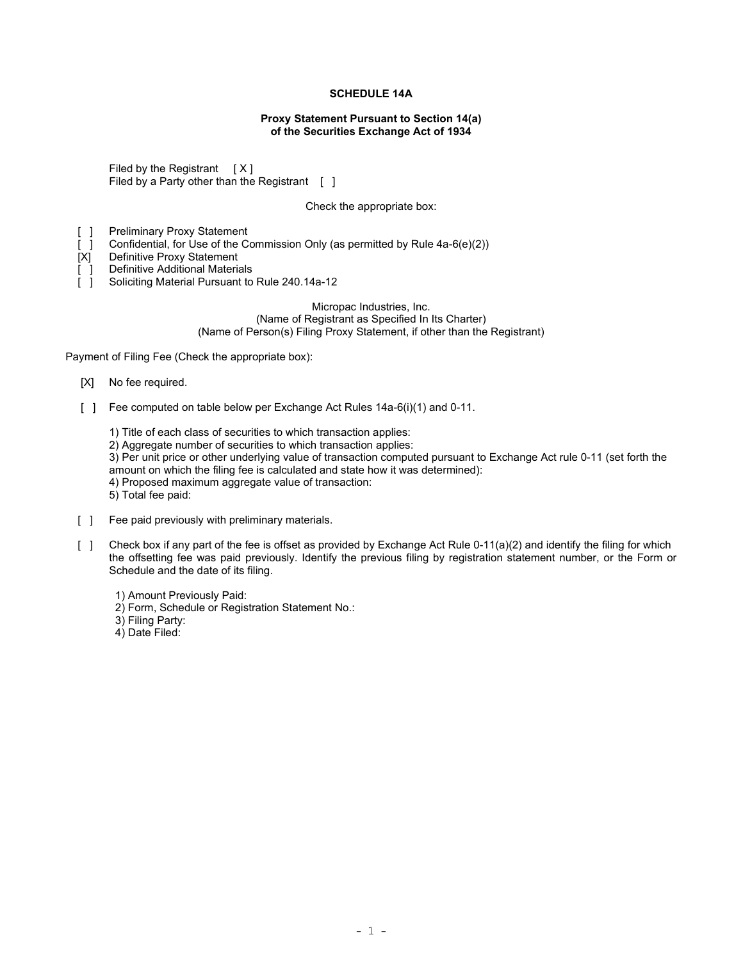# SCHEDULE 14A

## Proxy Statement Pursuant to Section 14(a) of the Securities Exchange Act of 1934

Filed by the Registrant  $[X]$ Filed by a Party other than the Registrant  $\begin{bmatrix} 1 \end{bmatrix}$ 

Check the appropriate box:

[ ] Preliminary Proxy Statement

[ ] Confidential, for Use of the Commission Only (as permitted by Rule 4a-6(e)(2))

[X] Definitive Proxy Statement

[ ] Definitive Additional Materials

[ ] Soliciting Material Pursuant to Rule 240.14a-12

Micropac Industries, Inc. (Name of Registrant as Specified In Its Charter) (Name of Person(s) Filing Proxy Statement, if other than the Registrant)

Payment of Filing Fee (Check the appropriate box):

- [X] No fee required.
- [ ] Fee computed on table below per Exchange Act Rules 14a-6(i)(1) and 0-11.

1) Title of each class of securities to which transaction applies:

2) Aggregate number of securities to which transaction applies:

3) Per unit price or other underlying value of transaction computed pursuant to Exchange Act rule 0-11 (set forth the amount on which the filing fee is calculated and state how it was determined):

4) Proposed maximum aggregate value of transaction:

5) Total fee paid:

- [ ] Fee paid previously with preliminary materials.
- [ ] Check box if any part of the fee is offset as provided by Exchange Act Rule 0-11(a)(2) and identify the filing for which the offsetting fee was paid previously. Identify the previous filing by registration statement number, or the Form or Schedule and the date of its filing.
	- 1) Amount Previously Paid:
	- 2) Form, Schedule or Registration Statement No.:
	- 3) Filing Party:
	- 4) Date Filed: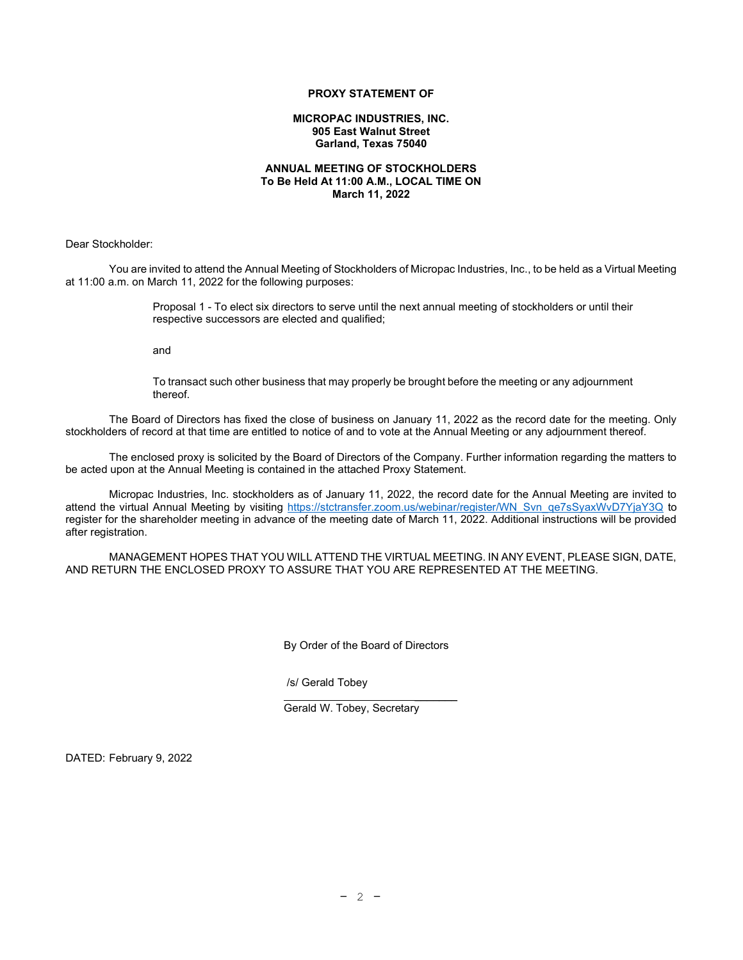# PROXY STATEMENT OF

#### MICROPAC INDUSTRIES, INC. 905 East Walnut Street Garland, Texas 75040

## ANNUAL MEETING OF STOCKHOLDERS To Be Held At 11:00 A.M., LOCAL TIME ON March 11, 2022

Dear Stockholder:

You are invited to attend the Annual Meeting of Stockholders of Micropac Industries, Inc., to be held as a Virtual Meeting at 11:00 a.m. on March 11, 2022 for the following purposes:

> Proposal 1 - To elect six directors to serve until the next annual meeting of stockholders or until their respective successors are elected and qualified;

and

To transact such other business that may properly be brought before the meeting or any adjournment thereof.

The Board of Directors has fixed the close of business on January 11, 2022 as the record date for the meeting. Only stockholders of record at that time are entitled to notice of and to vote at the Annual Meeting or any adjournment thereof.

The enclosed proxy is solicited by the Board of Directors of the Company. Further information regarding the matters to be acted upon at the Annual Meeting is contained in the attached Proxy Statement.

Micropac Industries, Inc. stockholders as of January 11, 2022, the record date for the Annual Meeting are invited to attend the virtual Annual Meeting by visiting https://stctransfer.zoom.us/webinar/register/WN\_Svn\_qe7sSyaxWvD7YjaY3Q to register for the shareholder meeting in advance of the meeting date of March 11, 2022. Additional instructions will be provided after registration.

MANAGEMENT HOPES THAT YOU WILL ATTEND THE VIRTUAL MEETING. IN ANY EVENT, PLEASE SIGN, DATE, AND RETURN THE ENCLOSED PROXY TO ASSURE THAT YOU ARE REPRESENTED AT THE MEETING.

By Order of the Board of Directors

/s/ Gerald Tobey

 $\mathcal{L}=\mathcal{L}=\mathcal{L}=\mathcal{L}=\mathcal{L}=\mathcal{L}=\mathcal{L}=\mathcal{L}=\mathcal{L}=\mathcal{L}=\mathcal{L}=\mathcal{L}=\mathcal{L}=\mathcal{L}=\mathcal{L}=\mathcal{L}=\mathcal{L}=\mathcal{L}=\mathcal{L}=\mathcal{L}=\mathcal{L}=\mathcal{L}=\mathcal{L}=\mathcal{L}=\mathcal{L}=\mathcal{L}=\mathcal{L}=\mathcal{L}=\mathcal{L}=\mathcal{L}=\mathcal{L}=\mathcal{L}=\mathcal{L}=\mathcal{L}=\mathcal{L}=\mathcal{L}=\mathcal{$ Gerald W. Tobey, Secretary

DATED: February 9, 2022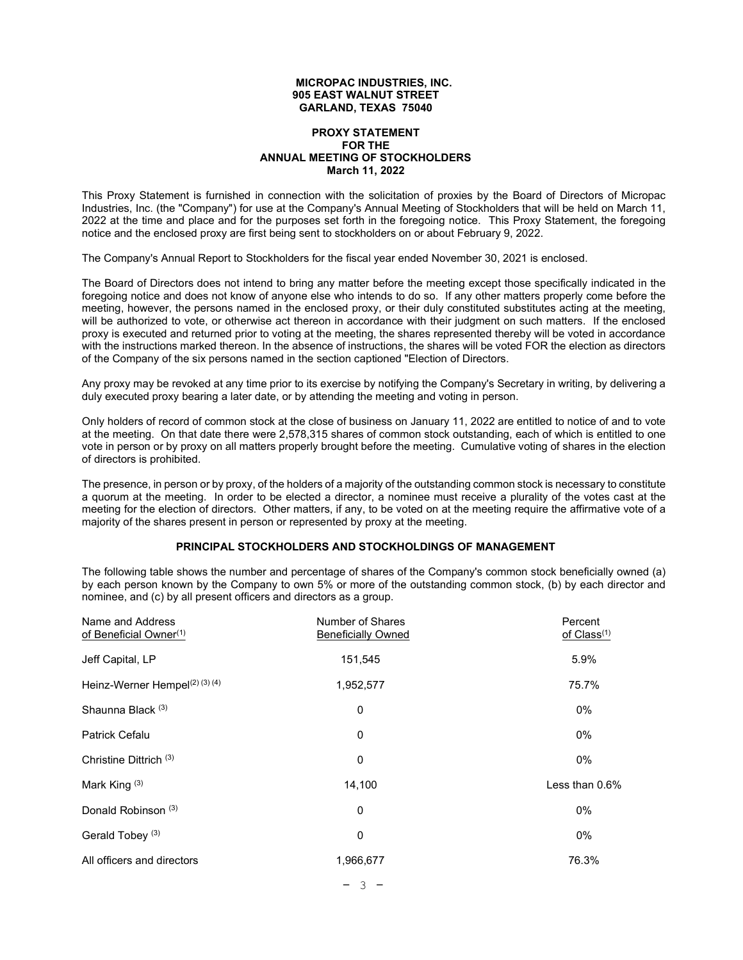#### MICROPAC INDUSTRIES, INC. 905 EAST WALNUT STREET GARLAND, TEXAS 75040

## PROXY STATEMENT FOR THE ANNUAL MEETING OF STOCKHOLDERS March 11, 2022

This Proxy Statement is furnished in connection with the solicitation of proxies by the Board of Directors of Micropac Industries, Inc. (the "Company") for use at the Company's Annual Meeting of Stockholders that will be held on March 11, 2022 at the time and place and for the purposes set forth in the foregoing notice. This Proxy Statement, the foregoing notice and the enclosed proxy are first being sent to stockholders on or about February 9, 2022.

The Company's Annual Report to Stockholders for the fiscal year ended November 30, 2021 is enclosed.

The Board of Directors does not intend to bring any matter before the meeting except those specifically indicated in the foregoing notice and does not know of anyone else who intends to do so. If any other matters properly come before the meeting, however, the persons named in the enclosed proxy, or their duly constituted substitutes acting at the meeting, will be authorized to vote, or otherwise act thereon in accordance with their judgment on such matters. If the enclosed proxy is executed and returned prior to voting at the meeting, the shares represented thereby will be voted in accordance with the instructions marked thereon. In the absence of instructions, the shares will be voted FOR the election as directors of the Company of the six persons named in the section captioned "Election of Directors.

Any proxy may be revoked at any time prior to its exercise by notifying the Company's Secretary in writing, by delivering a duly executed proxy bearing a later date, or by attending the meeting and voting in person.

Only holders of record of common stock at the close of business on January 11, 2022 are entitled to notice of and to vote at the meeting. On that date there were 2,578,315 shares of common stock outstanding, each of which is entitled to one vote in person or by proxy on all matters properly brought before the meeting. Cumulative voting of shares in the election of directors is prohibited.

The presence, in person or by proxy, of the holders of a majority of the outstanding common stock is necessary to constitute a quorum at the meeting. In order to be elected a director, a nominee must receive a plurality of the votes cast at the meeting for the election of directors. Other matters, if any, to be voted on at the meeting require the affirmative vote of a majority of the shares present in person or represented by proxy at the meeting.

# PRINCIPAL STOCKHOLDERS AND STOCKHOLDINGS OF MANAGEMENT

The following table shows the number and percentage of shares of the Company's common stock beneficially owned (a) by each person known by the Company to own 5% or more of the outstanding common stock, (b) by each director and nominee, and (c) by all present officers and directors as a group.

| Number of Shares<br><b>Beneficially Owned</b> | Percent<br>of Class <sup>(1)</sup> |
|-----------------------------------------------|------------------------------------|
| 151,545                                       | 5.9%                               |
| 1,952,577                                     | 75.7%                              |
| 0                                             | 0%                                 |
| 0                                             | 0%                                 |
| 0                                             | 0%                                 |
| 14,100                                        | Less than $0.6\%$                  |
| 0                                             | 0%                                 |
| 0                                             | 0%                                 |
| 1,966,677                                     | 76.3%                              |
|                                               |                                    |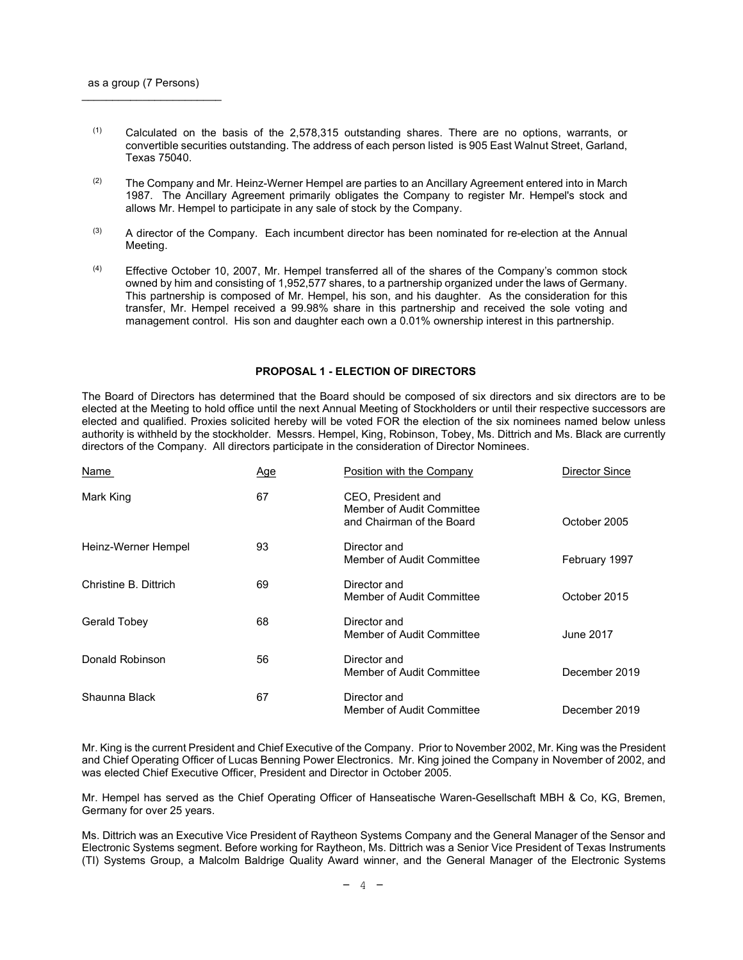$\mathcal{L}_\text{max}$  , where  $\mathcal{L}_\text{max}$  and  $\mathcal{L}_\text{max}$ 

- (1) Calculated on the basis of the 2,578,315 outstanding shares. There are no options, warrants, or convertible securities outstanding. The address of each person listed is 905 East Walnut Street, Garland, Texas 75040.
- $(2)$  The Company and Mr. Heinz-Werner Hempel are parties to an Ancillary Agreement entered into in March 1987. The Ancillary Agreement primarily obligates the Company to register Mr. Hempel's stock and allows Mr. Hempel to participate in any sale of stock by the Company.
- (3) A director of the Company. Each incumbent director has been nominated for re-election at the Annual Meeting.
- $(4)$  Effective October 10, 2007, Mr. Hempel transferred all of the shares of the Company's common stock owned by him and consisting of 1,952,577 shares, to a partnership organized under the laws of Germany. This partnership is composed of Mr. Hempel, his son, and his daughter. As the consideration for this transfer, Mr. Hempel received a 99.98% share in this partnership and received the sole voting and management control. His son and daughter each own a 0.01% ownership interest in this partnership.

## PROPOSAL 1 - ELECTION OF DIRECTORS

The Board of Directors has determined that the Board should be composed of six directors and six directors are to be elected at the Meeting to hold office until the next Annual Meeting of Stockholders or until their respective successors are elected and qualified. Proxies solicited hereby will be voted FOR the election of the six nominees named below unless authority is withheld by the stockholder. Messrs. Hempel, King, Robinson, Tobey, Ms. Dittrich and Ms. Black are currently directors of the Company. All directors participate in the consideration of Director Nominees.

| Name                  | <u>Age</u> | Position with the Company                                                    | Director Since |
|-----------------------|------------|------------------------------------------------------------------------------|----------------|
| Mark King             | 67         | CEO, President and<br>Member of Audit Committee<br>and Chairman of the Board | October 2005   |
| Heinz-Werner Hempel   | 93         | Director and<br>Member of Audit Committee                                    | February 1997  |
| Christine B. Dittrich | 69         | Director and<br>Member of Audit Committee                                    | October 2015   |
| Gerald Tobey          | 68         | Director and<br>Member of Audit Committee                                    | June 2017      |
| Donald Robinson       | 56         | Director and<br>Member of Audit Committee                                    | December 2019  |
| Shaunna Black         | 67         | Director and<br>Member of Audit Committee                                    | December 2019  |

Mr. King is the current President and Chief Executive of the Company. Prior to November 2002, Mr. King was the President and Chief Operating Officer of Lucas Benning Power Electronics. Mr. King joined the Company in November of 2002, and was elected Chief Executive Officer, President and Director in October 2005.

Mr. Hempel has served as the Chief Operating Officer of Hanseatische Waren-Gesellschaft MBH & Co, KG, Bremen, Germany for over 25 years.

Ms. Dittrich was an Executive Vice President of Raytheon Systems Company and the General Manager of the Sensor and Electronic Systems segment. Before working for Raytheon, Ms. Dittrich was a Senior Vice President of Texas Instruments (TI) Systems Group, a Malcolm Baldrige Quality Award winner, and the General Manager of the Electronic Systems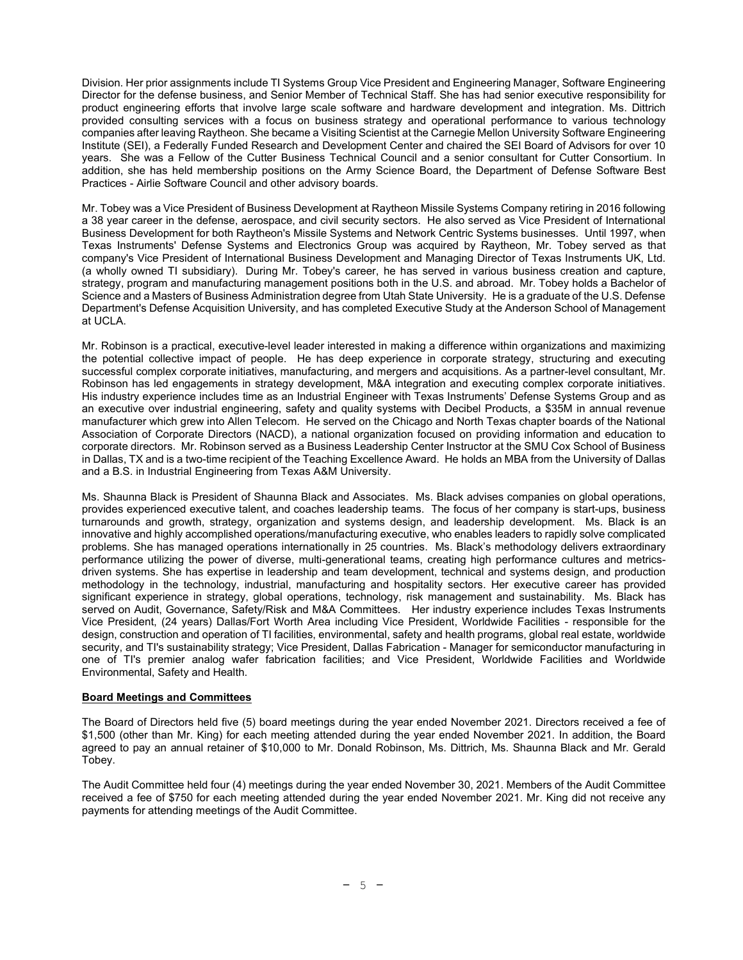Division. Her prior assignments include TI Systems Group Vice President and Engineering Manager, Software Engineering Director for the defense business, and Senior Member of Technical Staff. She has had senior executive responsibility for product engineering efforts that involve large scale software and hardware development and integration. Ms. Dittrich provided consulting services with a focus on business strategy and operational performance to various technology companies after leaving Raytheon. She became a Visiting Scientist at the Carnegie Mellon University Software Engineering Institute (SEI), a Federally Funded Research and Development Center and chaired the SEI Board of Advisors for over 10 years. She was a Fellow of the Cutter Business Technical Council and a senior consultant for Cutter Consortium. In addition, she has held membership positions on the Army Science Board, the Department of Defense Software Best Practices - Airlie Software Council and other advisory boards.

Mr. Tobey was a Vice President of Business Development at Raytheon Missile Systems Company retiring in 2016 following a 38 year career in the defense, aerospace, and civil security sectors. He also served as Vice President of International Business Development for both Raytheon's Missile Systems and Network Centric Systems businesses. Until 1997, when Texas Instruments' Defense Systems and Electronics Group was acquired by Raytheon, Mr. Tobey served as that company's Vice President of International Business Development and Managing Director of Texas Instruments UK, Ltd. (a wholly owned TI subsidiary). During Mr. Tobey's career, he has served in various business creation and capture, strategy, program and manufacturing management positions both in the U.S. and abroad. Mr. Tobey holds a Bachelor of Science and a Masters of Business Administration degree from Utah State University. He is a graduate of the U.S. Defense Department's Defense Acquisition University, and has completed Executive Study at the Anderson School of Management at UCLA.

Mr. Robinson is a practical, executive-level leader interested in making a difference within organizations and maximizing the potential collective impact of people. He has deep experience in corporate strategy, structuring and executing successful complex corporate initiatives, manufacturing, and mergers and acquisitions. As a partner-level consultant, Mr. Robinson has led engagements in strategy development, M&A integration and executing complex corporate initiatives. His industry experience includes time as an Industrial Engineer with Texas Instruments' Defense Systems Group and as an executive over industrial engineering, safety and quality systems with Decibel Products, a \$35M in annual revenue manufacturer which grew into Allen Telecom. He served on the Chicago and North Texas chapter boards of the National Association of Corporate Directors (NACD), a national organization focused on providing information and education to corporate directors. Mr. Robinson served as a Business Leadership Center Instructor at the SMU Cox School of Business in Dallas, TX and is a two-time recipient of the Teaching Excellence Award. He holds an MBA from the University of Dallas and a B.S. in Industrial Engineering from Texas A&M University.

Ms. Shaunna Black is President of Shaunna Black and Associates. Ms. Black advises companies on global operations, provides experienced executive talent, and coaches leadership teams. The focus of her company is start-ups, business turnarounds and growth, strategy, organization and systems design, and leadership development. Ms. Black is an innovative and highly accomplished operations/manufacturing executive, who enables leaders to rapidly solve complicated problems. She has managed operations internationally in 25 countries. Ms. Black's methodology delivers extraordinary performance utilizing the power of diverse, multi-generational teams, creating high performance cultures and metricsdriven systems. She has expertise in leadership and team development, technical and systems design, and production methodology in the technology, industrial, manufacturing and hospitality sectors. Her executive career has provided significant experience in strategy, global operations, technology, risk management and sustainability. Ms. Black has served on Audit, Governance, Safety/Risk and M&A Committees. Her industry experience includes Texas Instruments Vice President, (24 years) Dallas/Fort Worth Area including Vice President, Worldwide Facilities - responsible for the design, construction and operation of TI facilities, environmental, safety and health programs, global real estate, worldwide security, and TI's sustainability strategy; Vice President, Dallas Fabrication - Manager for semiconductor manufacturing in one of TI's premier analog wafer fabrication facilities; and Vice President, Worldwide Facilities and Worldwide Environmental, Safety and Health.

## Board Meetings and Committees

The Board of Directors held five (5) board meetings during the year ended November 2021. Directors received a fee of \$1,500 (other than Mr. King) for each meeting attended during the year ended November 2021. In addition, the Board agreed to pay an annual retainer of \$10,000 to Mr. Donald Robinson, Ms. Dittrich, Ms. Shaunna Black and Mr. Gerald Tobey.

The Audit Committee held four (4) meetings during the year ended November 30, 2021. Members of the Audit Committee received a fee of \$750 for each meeting attended during the year ended November 2021. Mr. King did not receive any payments for attending meetings of the Audit Committee.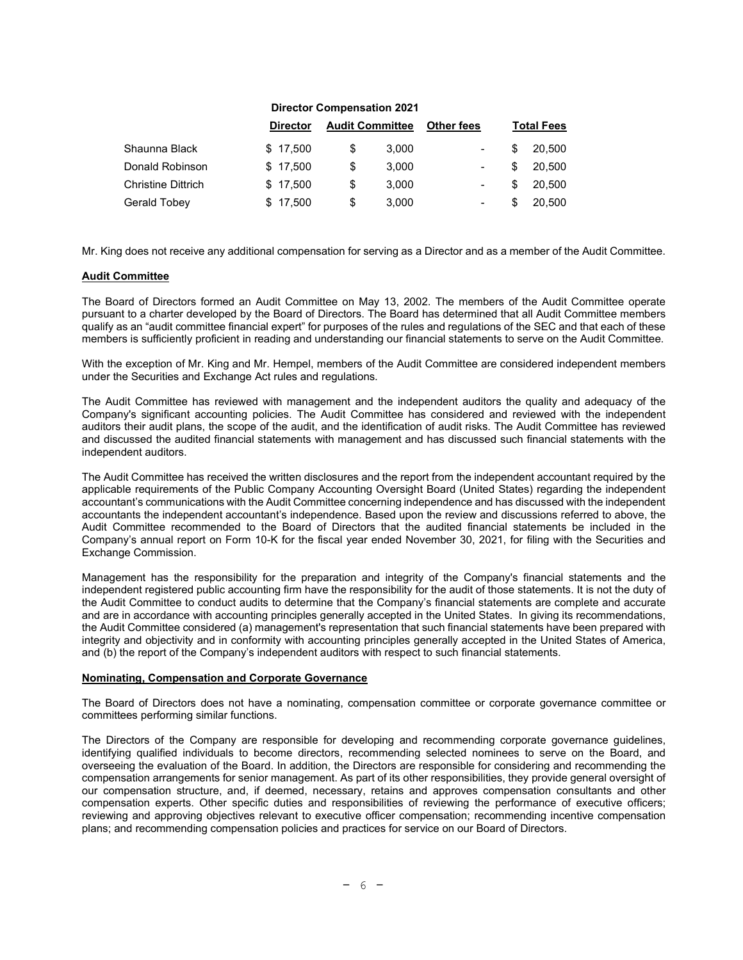| <b>Director Compensation 2021</b> |    |       |                        |    |                   |
|-----------------------------------|----|-------|------------------------|----|-------------------|
| <b>Director</b>                   |    |       | <b>Other fees</b>      |    | <b>Total Fees</b> |
| \$17,500                          | \$ | 3,000 |                        | S  | 20,500            |
| \$17,500                          | \$ | 3,000 |                        | \$ | 20,500            |
| \$17,500                          | \$ | 3,000 |                        | S  | 20,500            |
| \$17,500                          | \$ | 3,000 |                        | S  | 20.500            |
|                                   |    |       | <b>Audit Committee</b> |    |                   |

Mr. King does not receive any additional compensation for serving as a Director and as a member of the Audit Committee.

## Audit Committee

The Board of Directors formed an Audit Committee on May 13, 2002. The members of the Audit Committee operate pursuant to a charter developed by the Board of Directors. The Board has determined that all Audit Committee members qualify as an "audit committee financial expert" for purposes of the rules and regulations of the SEC and that each of these members is sufficiently proficient in reading and understanding our financial statements to serve on the Audit Committee.

With the exception of Mr. King and Mr. Hempel, members of the Audit Committee are considered independent members under the Securities and Exchange Act rules and regulations.

The Audit Committee has reviewed with management and the independent auditors the quality and adequacy of the Company's significant accounting policies. The Audit Committee has considered and reviewed with the independent auditors their audit plans, the scope of the audit, and the identification of audit risks. The Audit Committee has reviewed and discussed the audited financial statements with management and has discussed such financial statements with the independent auditors.

The Audit Committee has received the written disclosures and the report from the independent accountant required by the applicable requirements of the Public Company Accounting Oversight Board (United States) regarding the independent accountant's communications with the Audit Committee concerning independence and has discussed with the independent accountants the independent accountant's independence. Based upon the review and discussions referred to above, the Audit Committee recommended to the Board of Directors that the audited financial statements be included in the Company's annual report on Form 10-K for the fiscal year ended November 30, 2021, for filing with the Securities and Exchange Commission.

Management has the responsibility for the preparation and integrity of the Company's financial statements and the independent registered public accounting firm have the responsibility for the audit of those statements. It is not the duty of the Audit Committee to conduct audits to determine that the Company's financial statements are complete and accurate and are in accordance with accounting principles generally accepted in the United States. In giving its recommendations, the Audit Committee considered (a) management's representation that such financial statements have been prepared with integrity and objectivity and in conformity with accounting principles generally accepted in the United States of America, and (b) the report of the Company's independent auditors with respect to such financial statements.

#### Nominating, Compensation and Corporate Governance

The Board of Directors does not have a nominating, compensation committee or corporate governance committee or committees performing similar functions.

The Directors of the Company are responsible for developing and recommending corporate governance guidelines, identifying qualified individuals to become directors, recommending selected nominees to serve on the Board, and overseeing the evaluation of the Board. In addition, the Directors are responsible for considering and recommending the compensation arrangements for senior management. As part of its other responsibilities, they provide general oversight of our compensation structure, and, if deemed, necessary, retains and approves compensation consultants and other compensation experts. Other specific duties and responsibilities of reviewing the performance of executive officers; reviewing and approving objectives relevant to executive officer compensation; recommending incentive compensation plans; and recommending compensation policies and practices for service on our Board of Directors.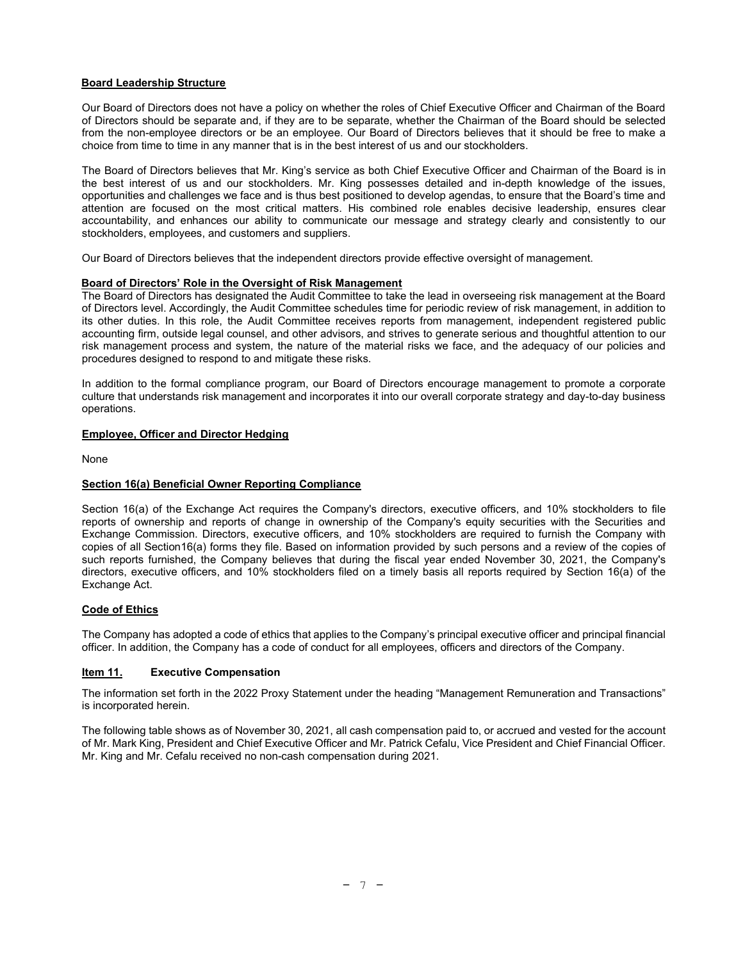# Board Leadership Structure

Our Board of Directors does not have a policy on whether the roles of Chief Executive Officer and Chairman of the Board of Directors should be separate and, if they are to be separate, whether the Chairman of the Board should be selected from the non-employee directors or be an employee. Our Board of Directors believes that it should be free to make a choice from time to time in any manner that is in the best interest of us and our stockholders.

The Board of Directors believes that Mr. King's service as both Chief Executive Officer and Chairman of the Board is in the best interest of us and our stockholders. Mr. King possesses detailed and in-depth knowledge of the issues, opportunities and challenges we face and is thus best positioned to develop agendas, to ensure that the Board's time and attention are focused on the most critical matters. His combined role enables decisive leadership, ensures clear accountability, and enhances our ability to communicate our message and strategy clearly and consistently to our stockholders, employees, and customers and suppliers.

Our Board of Directors believes that the independent directors provide effective oversight of management.

## Board of Directors' Role in the Oversight of Risk Management

The Board of Directors has designated the Audit Committee to take the lead in overseeing risk management at the Board of Directors level. Accordingly, the Audit Committee schedules time for periodic review of risk management, in addition to its other duties. In this role, the Audit Committee receives reports from management, independent registered public accounting firm, outside legal counsel, and other advisors, and strives to generate serious and thoughtful attention to our risk management process and system, the nature of the material risks we face, and the adequacy of our policies and procedures designed to respond to and mitigate these risks.

In addition to the formal compliance program, our Board of Directors encourage management to promote a corporate culture that understands risk management and incorporates it into our overall corporate strategy and day-to-day business operations.

# Employee, Officer and Director Hedging

None

## Section 16(a) Beneficial Owner Reporting Compliance

Section 16(a) of the Exchange Act requires the Company's directors, executive officers, and 10% stockholders to file reports of ownership and reports of change in ownership of the Company's equity securities with the Securities and Exchange Commission. Directors, executive officers, and 10% stockholders are required to furnish the Company with copies of all Section16(a) forms they file. Based on information provided by such persons and a review of the copies of such reports furnished, the Company believes that during the fiscal year ended November 30, 2021, the Company's directors, executive officers, and 10% stockholders filed on a timely basis all reports required by Section 16(a) of the Exchange Act.

## Code of Ethics

The Company has adopted a code of ethics that applies to the Company's principal executive officer and principal financial officer. In addition, the Company has a code of conduct for all employees, officers and directors of the Company.

## Item 11. Executive Compensation

The information set forth in the 2022 Proxy Statement under the heading "Management Remuneration and Transactions" is incorporated herein.

The following table shows as of November 30, 2021, all cash compensation paid to, or accrued and vested for the account of Mr. Mark King, President and Chief Executive Officer and Mr. Patrick Cefalu, Vice President and Chief Financial Officer. Mr. King and Mr. Cefalu received no non-cash compensation during 2021.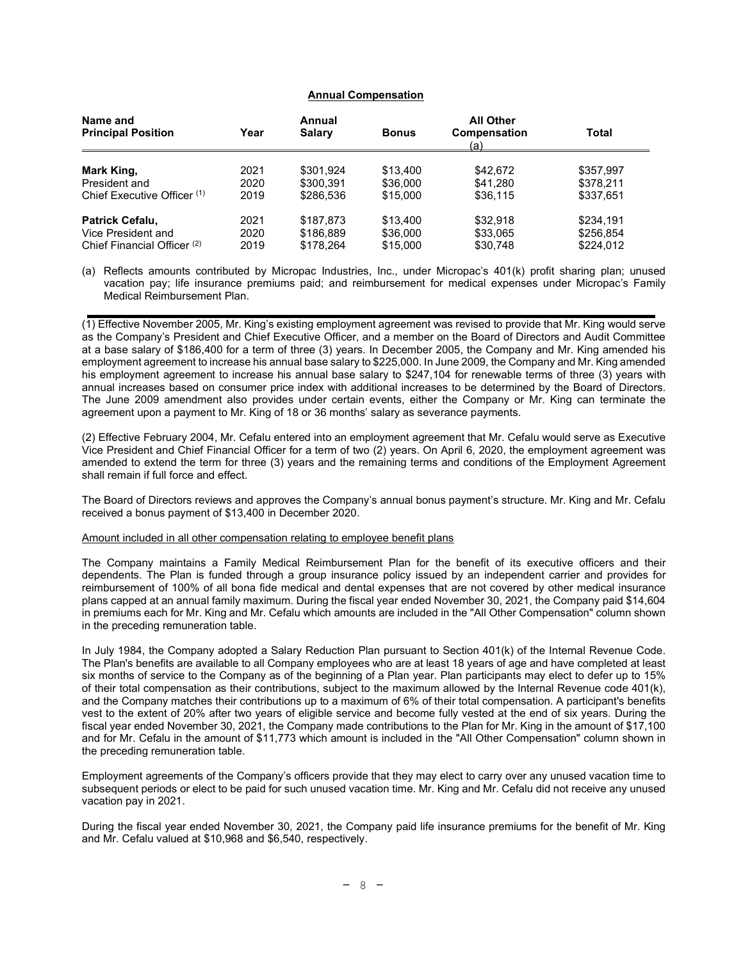# Annual Compensation

| Name and                               |      | Annual        |              | <b>All Other</b>    |           |
|----------------------------------------|------|---------------|--------------|---------------------|-----------|
| <b>Principal Position</b>              | Year | <b>Salary</b> | <b>Bonus</b> | Compensation<br>(a) | Total     |
|                                        |      |               |              |                     |           |
| Mark King,                             | 2021 | \$301.924     | \$13,400     | \$42.672            | \$357.997 |
| President and                          | 2020 | \$300.391     | \$36,000     | \$41.280            | \$378.211 |
| Chief Executive Officer (1)            | 2019 | \$286.536     | \$15,000     | \$36,115            | \$337,651 |
| Patrick Cefalu,                        | 2021 | \$187.873     | \$13,400     | \$32.918            | \$234,191 |
| Vice President and                     | 2020 | \$186.889     | \$36,000     | \$33,065            | \$256.854 |
| Chief Financial Officer <sup>(2)</sup> | 2019 | \$178.264     | \$15,000     | \$30,748            | \$224.012 |

(a) Reflects amounts contributed by Micropac Industries, Inc., under Micropac's 401(k) profit sharing plan; unused vacation pay; life insurance premiums paid; and reimbursement for medical expenses under Micropac's Family Medical Reimbursement Plan.

(1) Effective November 2005, Mr. King's existing employment agreement was revised to provide that Mr. King would serve as the Company's President and Chief Executive Officer, and a member on the Board of Directors and Audit Committee at a base salary of \$186,400 for a term of three (3) years. In December 2005, the Company and Mr. King amended his employment agreement to increase his annual base salary to \$225,000. In June 2009, the Company and Mr. King amended his employment agreement to increase his annual base salary to \$247,104 for renewable terms of three (3) years with annual increases based on consumer price index with additional increases to be determined by the Board of Directors. The June 2009 amendment also provides under certain events, either the Company or Mr. King can terminate the agreement upon a payment to Mr. King of 18 or 36 months' salary as severance payments.

(2) Effective February 2004, Mr. Cefalu entered into an employment agreement that Mr. Cefalu would serve as Executive Vice President and Chief Financial Officer for a term of two (2) years. On April 6, 2020, the employment agreement was amended to extend the term for three (3) years and the remaining terms and conditions of the Employment Agreement shall remain if full force and effect.

The Board of Directors reviews and approves the Company's annual bonus payment's structure. Mr. King and Mr. Cefalu received a bonus payment of \$13,400 in December 2020.

#### Amount included in all other compensation relating to employee benefit plans

The Company maintains a Family Medical Reimbursement Plan for the benefit of its executive officers and their dependents. The Plan is funded through a group insurance policy issued by an independent carrier and provides for reimbursement of 100% of all bona fide medical and dental expenses that are not covered by other medical insurance plans capped at an annual family maximum. During the fiscal year ended November 30, 2021, the Company paid \$14,604 in premiums each for Mr. King and Mr. Cefalu which amounts are included in the "All Other Compensation" column shown in the preceding remuneration table.

In July 1984, the Company adopted a Salary Reduction Plan pursuant to Section 401(k) of the Internal Revenue Code. The Plan's benefits are available to all Company employees who are at least 18 years of age and have completed at least six months of service to the Company as of the beginning of a Plan year. Plan participants may elect to defer up to 15% of their total compensation as their contributions, subject to the maximum allowed by the Internal Revenue code 401(k), and the Company matches their contributions up to a maximum of 6% of their total compensation. A participant's benefits vest to the extent of 20% after two years of eligible service and become fully vested at the end of six years. During the fiscal year ended November 30, 2021, the Company made contributions to the Plan for Mr. King in the amount of \$17,100 and for Mr. Cefalu in the amount of \$11,773 which amount is included in the "All Other Compensation" column shown in the preceding remuneration table.

Employment agreements of the Company's officers provide that they may elect to carry over any unused vacation time to subsequent periods or elect to be paid for such unused vacation time. Mr. King and Mr. Cefalu did not receive any unused vacation pay in 2021.

During the fiscal year ended November 30, 2021, the Company paid life insurance premiums for the benefit of Mr. King and Mr. Cefalu valued at \$10,968 and \$6,540, respectively.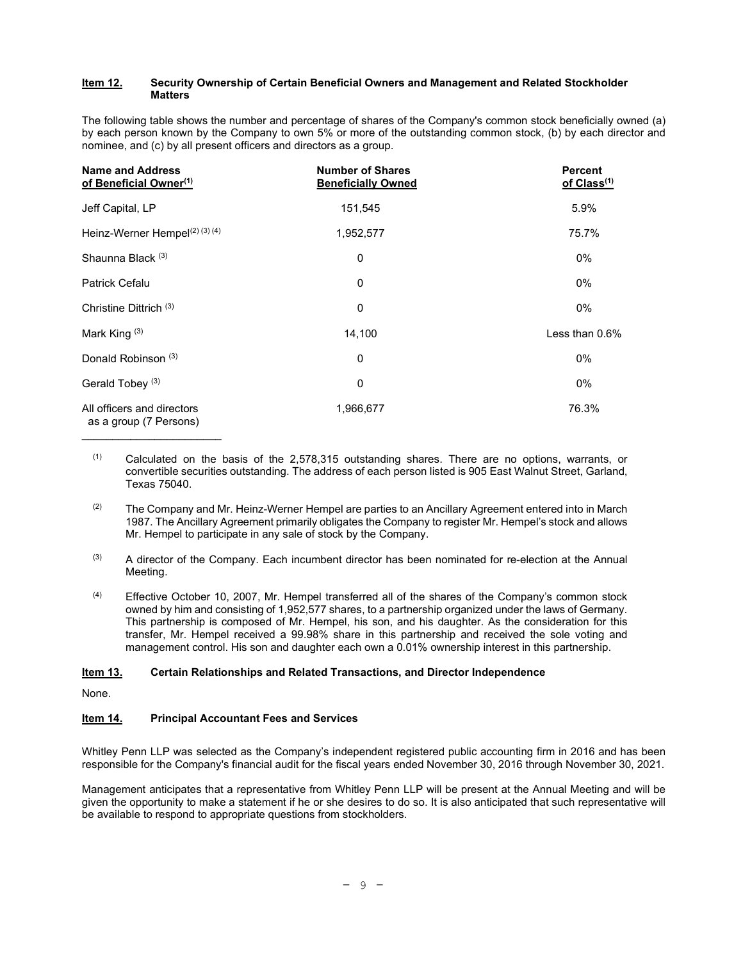#### Item 12. Security Ownership of Certain Beneficial Owners and Management and Related Stockholder Matters

The following table shows the number and percentage of shares of the Company's common stock beneficially owned (a) by each person known by the Company to own 5% or more of the outstanding common stock, (b) by each director and nominee, and (c) by all present officers and directors as a group.

| <b>Name and Address</b><br>of Beneficial Owner <sup>(1)</sup> | <b>Number of Shares</b><br><b>Beneficially Owned</b> | <b>Percent</b><br>of Class <sup>(1)</sup> |
|---------------------------------------------------------------|------------------------------------------------------|-------------------------------------------|
| Jeff Capital, LP                                              | 151,545                                              | 5.9%                                      |
| Heinz-Werner Hempel(2) (3) (4)                                | 1,952,577                                            | 75.7%                                     |
| Shaunna Black <sup>(3)</sup>                                  | 0                                                    | $0\%$                                     |
| <b>Patrick Cefalu</b>                                         | 0                                                    | 0%                                        |
| Christine Dittrich <sup>(3)</sup>                             | 0                                                    | 0%                                        |
| Mark King <sup>(3)</sup>                                      | 14,100                                               | Less than $0.6\%$                         |
| Donald Robinson <sup>(3)</sup>                                | 0                                                    | 0%                                        |
| Gerald Tobey <sup>(3)</sup>                                   | 0                                                    | 0%                                        |
| All officers and directors<br>as a group (7 Persons)          | 1,966,677                                            | 76.3%                                     |

- (1) Calculated on the basis of the 2,578,315 outstanding shares. There are no options, warrants, or convertible securities outstanding. The address of each person listed is 905 East Walnut Street, Garland, Texas 75040.
- $(2)$  The Company and Mr. Heinz-Werner Hempel are parties to an Ancillary Agreement entered into in March 1987. The Ancillary Agreement primarily obligates the Company to register Mr. Hempel's stock and allows Mr. Hempel to participate in any sale of stock by the Company.
- (3) A director of the Company. Each incumbent director has been nominated for re-election at the Annual Meeting.
- $(4)$  Effective October 10, 2007, Mr. Hempel transferred all of the shares of the Company's common stock owned by him and consisting of 1,952,577 shares, to a partnership organized under the laws of Germany. This partnership is composed of Mr. Hempel, his son, and his daughter. As the consideration for this transfer, Mr. Hempel received a 99.98% share in this partnership and received the sole voting and management control. His son and daughter each own a 0.01% ownership interest in this partnership.

## **Item 13.** Certain Relationships and Related Transactions, and Director Independence

None.

# **Item 14.** Principal Accountant Fees and Services

Whitley Penn LLP was selected as the Company's independent registered public accounting firm in 2016 and has been responsible for the Company's financial audit for the fiscal years ended November 30, 2016 through November 30, 2021.

Management anticipates that a representative from Whitley Penn LLP will be present at the Annual Meeting and will be given the opportunity to make a statement if he or she desires to do so. It is also anticipated that such representative will be available to respond to appropriate questions from stockholders.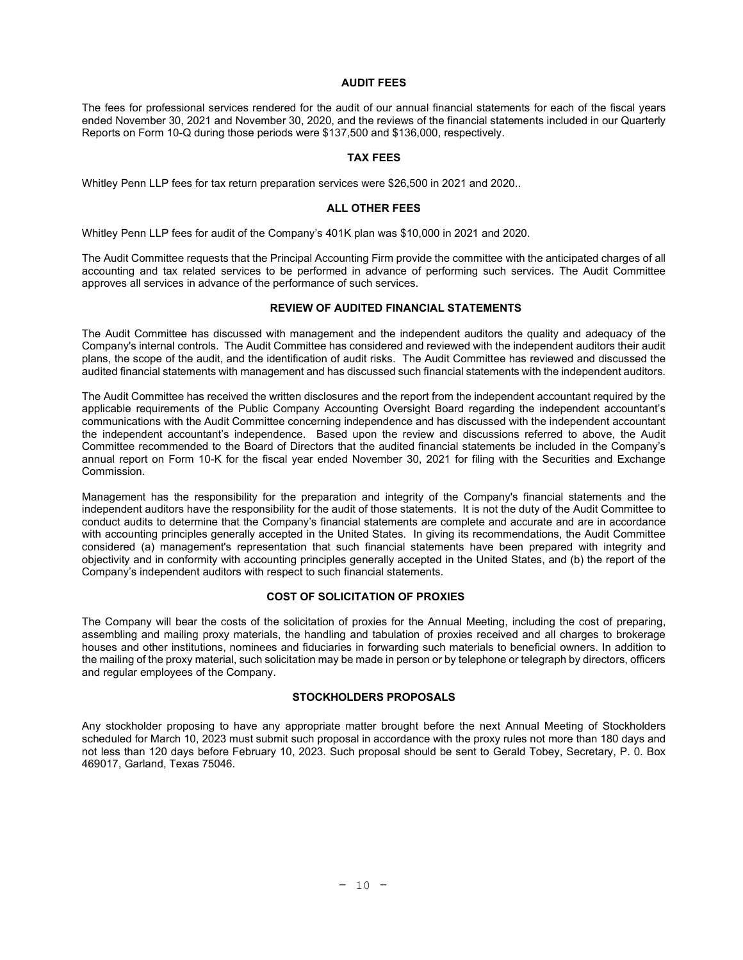## AUDIT FEES

The fees for professional services rendered for the audit of our annual financial statements for each of the fiscal years ended November 30, 2021 and November 30, 2020, and the reviews of the financial statements included in our Quarterly Reports on Form 10-Q during those periods were \$137,500 and \$136,000, respectively.

## TAX FEES

Whitley Penn LLP fees for tax return preparation services were \$26,500 in 2021 and 2020..

#### ALL OTHER FEES

Whitley Penn LLP fees for audit of the Company's 401K plan was \$10,000 in 2021 and 2020.

The Audit Committee requests that the Principal Accounting Firm provide the committee with the anticipated charges of all accounting and tax related services to be performed in advance of performing such services. The Audit Committee approves all services in advance of the performance of such services.

# REVIEW OF AUDITED FINANCIAL STATEMENTS

The Audit Committee has discussed with management and the independent auditors the quality and adequacy of the Company's internal controls. The Audit Committee has considered and reviewed with the independent auditors their audit plans, the scope of the audit, and the identification of audit risks. The Audit Committee has reviewed and discussed the audited financial statements with management and has discussed such financial statements with the independent auditors.

The Audit Committee has received the written disclosures and the report from the independent accountant required by the applicable requirements of the Public Company Accounting Oversight Board regarding the independent accountant's communications with the Audit Committee concerning independence and has discussed with the independent accountant the independent accountant's independence. Based upon the review and discussions referred to above, the Audit Committee recommended to the Board of Directors that the audited financial statements be included in the Company's annual report on Form 10-K for the fiscal year ended November 30, 2021 for filing with the Securities and Exchange Commission.

Management has the responsibility for the preparation and integrity of the Company's financial statements and the independent auditors have the responsibility for the audit of those statements. It is not the duty of the Audit Committee to conduct audits to determine that the Company's financial statements are complete and accurate and are in accordance with accounting principles generally accepted in the United States. In giving its recommendations, the Audit Committee considered (a) management's representation that such financial statements have been prepared with integrity and objectivity and in conformity with accounting principles generally accepted in the United States, and (b) the report of the Company's independent auditors with respect to such financial statements.

# COST OF SOLICITATION OF PROXIES

The Company will bear the costs of the solicitation of proxies for the Annual Meeting, including the cost of preparing, assembling and mailing proxy materials, the handling and tabulation of proxies received and all charges to brokerage houses and other institutions, nominees and fiduciaries in forwarding such materials to beneficial owners. In addition to the mailing of the proxy material, such solicitation may be made in person or by telephone or telegraph by directors, officers and regular employees of the Company.

## STOCKHOLDERS PROPOSALS

Any stockholder proposing to have any appropriate matter brought before the next Annual Meeting of Stockholders scheduled for March 10, 2023 must submit such proposal in accordance with the proxy rules not more than 180 days and not less than 120 days before February 10, 2023. Such proposal should be sent to Gerald Tobey, Secretary, P. 0. Box 469017, Garland, Texas 75046.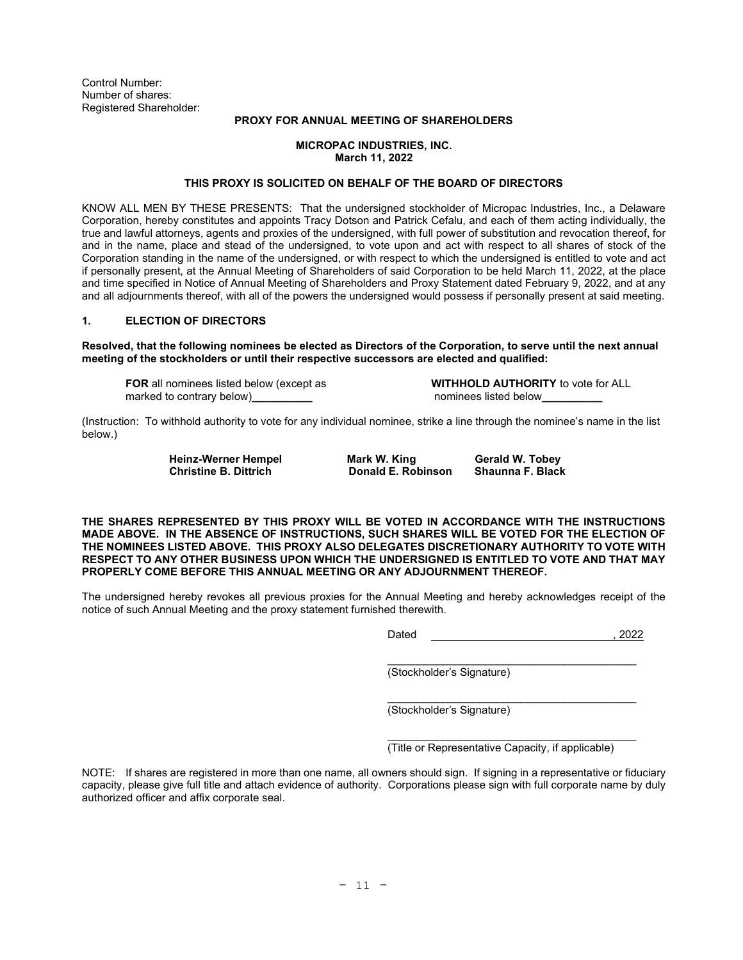Control Number: Number of shares: Registered Shareholder:

## PROXY FOR ANNUAL MEETING OF SHAREHOLDERS

## MICROPAC INDUSTRIES, INC. March 11, 2022

## THIS PROXY IS SOLICITED ON BEHALF OF THE BOARD OF DIRECTORS

KNOW ALL MEN BY THESE PRESENTS: That the undersigned stockholder of Micropac Industries, Inc., a Delaware Corporation, hereby constitutes and appoints Tracy Dotson and Patrick Cefalu, and each of them acting individually, the true and lawful attorneys, agents and proxies of the undersigned, with full power of substitution and revocation thereof, for and in the name, place and stead of the undersigned, to vote upon and act with respect to all shares of stock of the Corporation standing in the name of the undersigned, or with respect to which the undersigned is entitled to vote and act if personally present, at the Annual Meeting of Shareholders of said Corporation to be held March 11, 2022, at the place and time specified in Notice of Annual Meeting of Shareholders and Proxy Statement dated February 9, 2022, and at any and all adjournments thereof, with all of the powers the undersigned would possess if personally present at said meeting.

## 1. ELECTION OF DIRECTORS

Resolved, that the following nominees be elected as Directors of the Corporation, to serve until the next annual meeting of the stockholders or until their respective successors are elected and qualified:

marked to contrary below) example to the contrary prominees listed below

FOR all nominees listed below (except as WITHHOLD AUTHORITY to vote for ALL

(Instruction: To withhold authority to vote for any individual nominee, strike a line through the nominee's name in the list below.)

Heinz-Werner Hempel **Mark W. King Charles And Mark W. Allen Charles Charles Charles Christine Black**<br>Christine B. Dittrich Charles Donald E. Robinson Shaunna F. Black

Donald E. Robinson Shaunna F. Black

THE SHARES REPRESENTED BY THIS PROXY WILL BE VOTED IN ACCORDANCE WITH THE INSTRUCTIONS MADE ABOVE. IN THE ABSENCE OF INSTRUCTIONS, SUCH SHARES WILL BE VOTED FOR THE ELECTION OF THE NOMINEES LISTED ABOVE. THIS PROXY ALSO DELEGATES DISCRETIONARY AUTHORITY TO VOTE WITH RESPECT TO ANY OTHER BUSINESS UPON WHICH THE UNDERSIGNED IS ENTITLED TO VOTE AND THAT MAY PROPERLY COME BEFORE THIS ANNUAL MEETING OR ANY ADJOURNMENT THEREOF.

The undersigned hereby revokes all previous proxies for the Annual Meeting and hereby acknowledges receipt of the notice of such Annual Meeting and the proxy statement furnished therewith.

Dated , 2022

\_\_\_\_\_\_\_\_\_\_\_\_\_\_\_\_\_\_\_\_\_\_\_\_\_\_\_\_\_\_\_\_\_\_\_\_\_\_\_\_\_

(Stockholder's Signature)

\_\_\_\_\_\_\_\_\_\_\_\_\_\_\_\_\_\_\_\_\_\_\_\_\_\_\_\_\_\_\_\_\_\_\_\_\_\_\_\_\_ (Stockholder's Signature)

(Title or Representative Capacity, if applicable)

\_\_\_\_\_\_\_\_\_\_\_\_\_\_\_\_\_\_\_\_\_\_\_\_\_\_\_\_\_\_\_\_\_\_\_\_\_\_\_\_\_

NOTE: If shares are registered in more than one name, all owners should sign. If signing in a representative or fiduciary capacity, please give full title and attach evidence of authority. Corporations please sign with full corporate name by duly authorized officer and affix corporate seal.